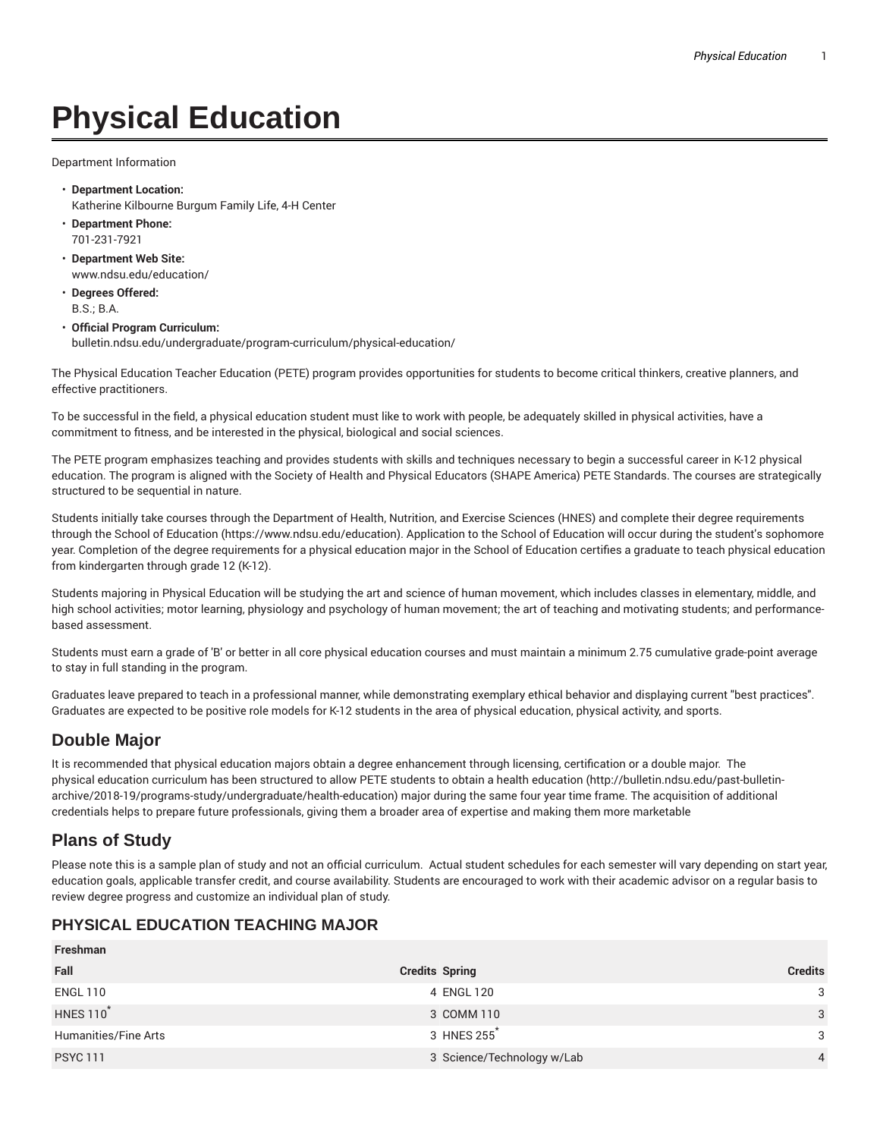# **Physical Education**

Department Information

- **Department Location:** Katherine Kilbourne Burgum Family Life, 4-H Center
- **Department Phone:** 701-231-7921
- **Department Web Site:** www.ndsu.edu/education/
- **Degrees Offered:** B.S.; B.A.
- **Official Program Curriculum:** bulletin.ndsu.edu/undergraduate/program-curriculum/physical-education/

The Physical Education Teacher Education (PETE) program provides opportunities for students to become critical thinkers, creative planners, and effective practitioners.

To be successful in the field, a physical education student must like to work with people, be adequately skilled in physical activities, have a commitment to fitness, and be interested in the physical, biological and social sciences.

The PETE program emphasizes teaching and provides students with skills and techniques necessary to begin a successful career in K-12 physical education. The program is aligned with the Society of Health and Physical Educators (SHAPE America) PETE Standards. The courses are strategically structured to be sequential in nature.

Students initially take courses through the Department of Health, Nutrition, and Exercise Sciences (HNES) and complete their degree requirements through the School of Education (https://www.ndsu.edu/education). Application to the School of Education will occur during the student's sophomore year. Completion of the degree requirements for a physical education major in the School of Education certifies a graduate to teach physical education from kindergarten through grade 12 (K-12).

Students majoring in Physical Education will be studying the art and science of human movement, which includes classes in elementary, middle, and high school activities; motor learning, physiology and psychology of human movement; the art of teaching and motivating students; and performancebased assessment.

Students must earn a grade of 'B' or better in all core physical education courses and must maintain a minimum 2.75 cumulative grade-point average to stay in full standing in the program.

Graduates leave prepared to teach in a professional manner, while demonstrating exemplary ethical behavior and displaying current "best practices". Graduates are expected to be positive role models for K-12 students in the area of physical education, physical activity, and sports.

## **Double Major**

It is recommended that physical education majors obtain a degree enhancement through licensing, certification or a double major. The physical education curriculum has been structured to allow PETE students to obtain a health education (http://bulletin.ndsu.edu/past-bulletinarchive/2018-19/programs-study/undergraduate/health-education) major during the same four year time frame. The acquisition of additional credentials helps to prepare future professionals, giving them a broader area of expertise and making them more marketable

## **Plans of Study**

**Freshman**

Please note this is a sample plan of study and not an official curriculum. Actual student schedules for each semester will vary depending on start year, education goals, applicable transfer credit, and course availability. Students are encouraged to work with their academic advisor on a regular basis to review degree progress and customize an individual plan of study.

#### **PHYSICAL EDUCATION TEACHING MAJOR**

| Freshman             |                            |                |
|----------------------|----------------------------|----------------|
| Fall                 | <b>Credits Spring</b>      | <b>Credits</b> |
| <b>ENGL 110</b>      | 4 ENGL 120                 | 3              |
| <b>HNES 110</b>      | 3 COMM 110                 | 3              |
| Humanities/Fine Arts | 3 HNES 255                 | 3              |
| <b>PSYC 111</b>      | 3 Science/Technology w/Lab | $\overline{4}$ |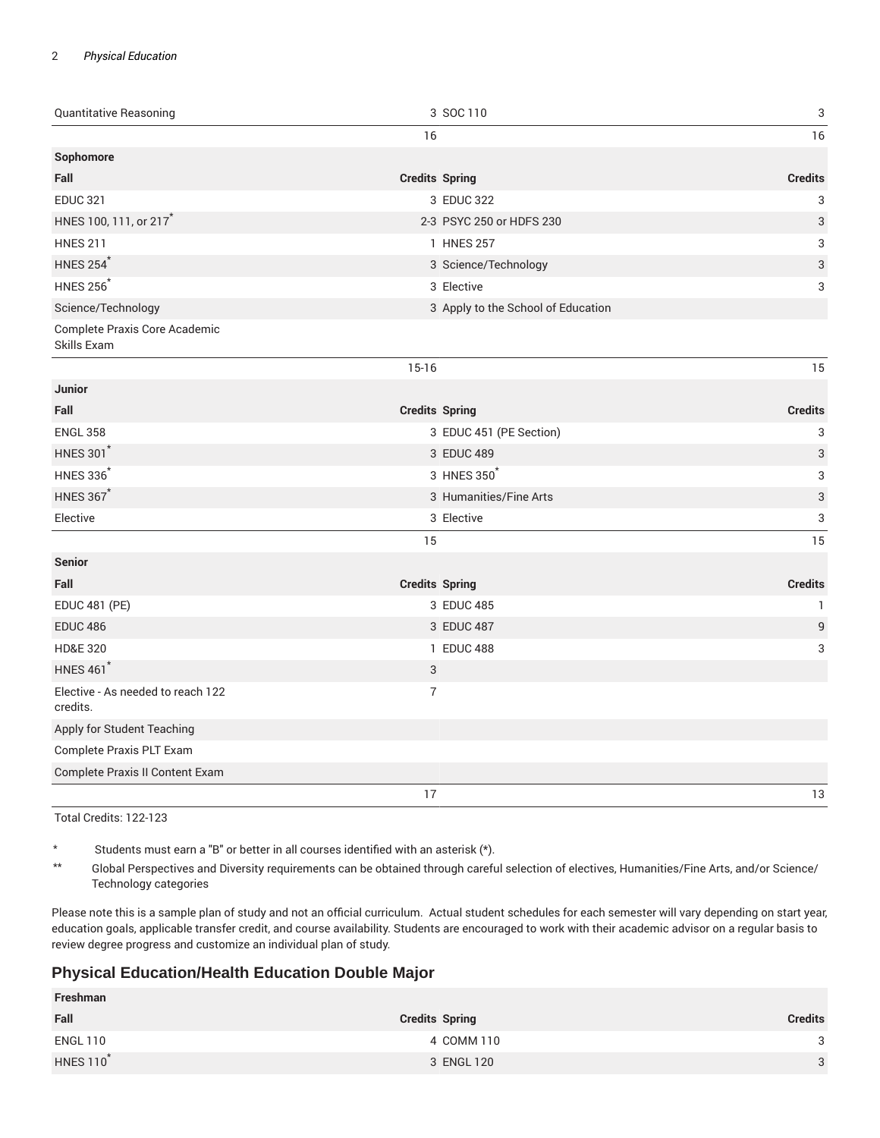#### 2 *Physical Education*

| Quantitative Reasoning                        |                       | 3 SOC 110                          | 3              |
|-----------------------------------------------|-----------------------|------------------------------------|----------------|
|                                               | 16                    |                                    | 16             |
| Sophomore                                     |                       |                                    |                |
| Fall                                          | <b>Credits Spring</b> |                                    | <b>Credits</b> |
| <b>EDUC 321</b>                               |                       | 3 EDUC 322                         | 3              |
| HNES 100, 111, or 217 <sup>*</sup>            |                       | 2-3 PSYC 250 or HDFS 230           | 3              |
| <b>HNES 211</b>                               |                       | 1 HNES 257                         | 3              |
| <b>HNES 254</b>                               |                       | 3 Science/Technology               | 3              |
| <b>HNES 256<sup>*</sup></b>                   |                       | 3 Elective                         | 3              |
| Science/Technology                            |                       | 3 Apply to the School of Education |                |
| Complete Praxis Core Academic<br>Skills Exam  |                       |                                    |                |
|                                               | $15-16$               |                                    | 15             |
| <b>Junior</b>                                 |                       |                                    |                |
| Fall                                          | <b>Credits Spring</b> |                                    | <b>Credits</b> |
| <b>ENGL 358</b>                               |                       | 3 EDUC 451 (PE Section)            | 3              |
| <b>HNES 301*</b>                              |                       | 3 EDUC 489                         | 3              |
| <b>HNES 336</b>                               |                       | 3 HNES 350                         | 3              |
| <b>HNES 367*</b>                              |                       | 3 Humanities/Fine Arts             | 3              |
| Elective                                      |                       | 3 Elective                         | 3              |
|                                               | 15                    |                                    | 15             |
| <b>Senior</b>                                 |                       |                                    |                |
| Fall                                          | <b>Credits Spring</b> |                                    | <b>Credits</b> |
| <b>EDUC 481 (PE)</b>                          |                       | 3 EDUC 485                         | $\mathbf{1}$   |
| <b>EDUC 486</b>                               |                       | 3 EDUC 487                         | $\mathsf g$    |
| <b>HD&amp;E 320</b>                           |                       | 1 EDUC 488                         | 3              |
| <b>HNES 461<sup>*</sup></b>                   | $\sqrt{3}$            |                                    |                |
| Elective - As needed to reach 122<br>credits. | $\overline{7}$        |                                    |                |
| Apply for Student Teaching                    |                       |                                    |                |
| Complete Praxis PLT Exam                      |                       |                                    |                |
| Complete Praxis II Content Exam               |                       |                                    |                |
|                                               | 17                    |                                    | 13             |

Total Credits: 122-123

\* Students must earn a "B" or better in all courses identified with an asterisk (\*).

\*\* Global Perspectives and Diversity requirements can be obtained through careful selection of electives, Humanities/Fine Arts, and/or Science/ Technology categories

Please note this is a sample plan of study and not an official curriculum. Actual student schedules for each semester will vary depending on start year, education goals, applicable transfer credit, and course availability. Students are encouraged to work with their academic advisor on a regular basis to review degree progress and customize an individual plan of study.

#### **Physical Education/Health Education Double Major**

| Freshman                     |                       |                |
|------------------------------|-----------------------|----------------|
| Fall                         | <b>Credits Spring</b> | <b>Credits</b> |
| <b>ENGL 110</b>              | 4 COMM 110            | ર              |
| <b>HNES 110</b> <sup>*</sup> | 3 ENGL 120            | 3              |